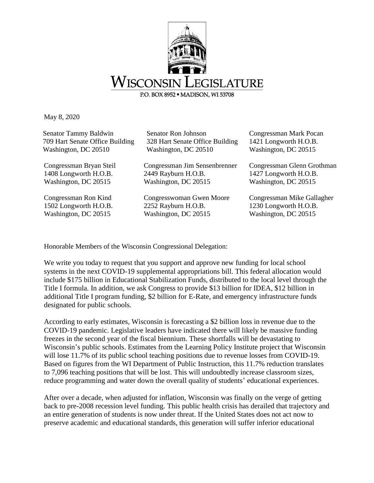

May 8, 2020

| Senator Tammy Baldwin           | Senator Ron Johnson             | Congressman Mark Pocan     |
|---------------------------------|---------------------------------|----------------------------|
| 709 Hart Senate Office Building | 328 Hart Senate Office Building | 1421 Longworth H.O.B.      |
| Washington, DC 20510            | Washington, DC 20510            | Washington, DC 20515       |
| Congressman Bryan Steil         | Congressman Jim Sensenbrenner   | Congressman Glenn Grothman |
| 1408 Longworth H.O.B.           | 2449 Rayburn H.O.B.             | 1427 Longworth H.O.B.      |
| Washington, DC 20515            | Washington, DC 20515            | Washington, DC 20515       |
| Congressman Ron Kind            | Congresswoman Gwen Moore        | Congressman Mike Gallagher |
| 1502 Longworth H.O.B.           | 2252 Rayburn H.O.B.             | 1230 Longworth H.O.B.      |
| Washington, DC 20515            | Washington, DC 20515            | Washington, DC 20515       |

Honorable Members of the Wisconsin Congressional Delegation:

We write you today to request that you support and approve new funding for local school systems in the next COVID-19 supplemental appropriations bill. This federal allocation would include \$175 billion in Educational Stabilization Funds, distributed to the local level through the Title I formula. In addition, we ask Congress to provide \$13 billion for IDEA, \$12 billion in additional Title I program funding, \$2 billion for E-Rate, and emergency infrastructure funds designated for public schools.

According to early estimates, Wisconsin is forecasting a \$2 billion loss in revenue due to the COVID-19 pandemic. Legislative leaders have indicated there will likely be massive funding freezes in the second year of the fiscal biennium. These shortfalls will be devastating to Wisconsin's public schools. Estimates from the Learning Policy Institute project that Wisconsin will lose 11.7% of its public school teaching positions due to revenue losses from COVID-19. Based on figures from the WI Department of Public Instruction, this 11.7% reduction translates to 7,096 teaching positions that will be lost. This will undoubtedly increase classroom sizes, reduce programming and water down the overall quality of students' educational experiences.

After over a decade, when adjusted for inflation, Wisconsin was finally on the verge of getting back to pre-2008 recession level funding. This public health crisis has derailed that trajectory and an entire generation of students is now under threat. If the United States does not act now to preserve academic and educational standards, this generation will suffer inferior educational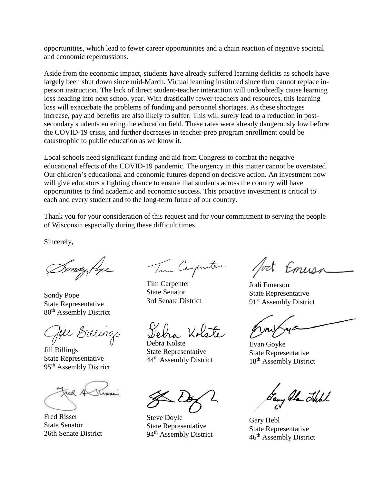opportunities, which lead to fewer career opportunities and a chain reaction of negative societal and economic repercussions.

Aside from the economic impact, students have already suffered learning deficits as schools have largely been shut down since mid-March. Virtual learning instituted since then cannot replace inperson instruction. The lack of direct student-teacher interaction will undoubtedly cause learning loss heading into next school year. With drastically fewer teachers and resources, this learning loss will exacerbate the problems of funding and personnel shortages. As these shortages increase, pay and benefits are also likely to suffer. This will surely lead to a reduction in postsecondary students entering the education field. These rates were already dangerously low before the COVID-19 crisis, and further decreases in teacher-prep program enrollment could be catastrophic to public education as we know it.

Local schools need significant funding and aid from Congress to combat the negative educational effects of the COVID-19 pandemic. The urgency in this matter cannot be overstated. Our children's educational and economic futures depend on decisive action. An investment now will give educators a fighting chance to ensure that students across the country will have opportunities to find academic and economic success. This proactive investment is critical to each and every student and to the long-term future of our country.

Thank you for your consideration of this request and for your commitment to serving the people of Wisconsin especially during these difficult times.

Sincerely,

Sondy Pope

Sondy Pope State Representative 80th Assembly District

Joel Billing

Jill Billings State Representative 95th Assembly District

Fred Risser State Senator 26th Senate District

Tim Carpenter

Tim Carpenter State Senator 3rd Senate District

na Kolste

Debra Kolste State Representative 44th Assembly District

Steve Doyle State Representative 94<sup>th</sup> Assembly District

fort Emuss

Jodi Emerson State Representative 91<sup>st</sup> Assembly District

Evan Goyke State Representative 18<sup>th</sup> Assembly District

, Alan Hell

Gary Hebl State Representative 46th Assembly District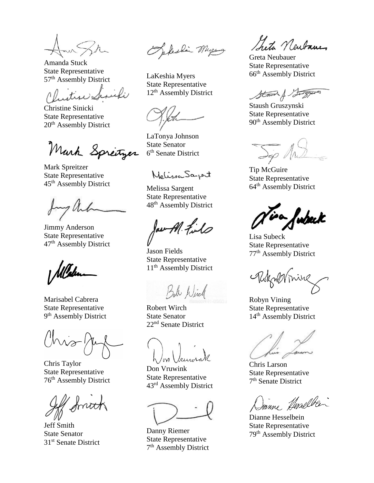Amanda Stuck State Representative 57th Assembly District

itise Sesieli

Christine Sinicki State Representative 20th Assembly District

Mark Springer

Mark Spreitzer State Representative 45th Assembly District

Jimmy Anderson State Representative 47th Assembly District

Marisabel Cabrera State Representative 9<sup>th</sup> Assembly District

 $W^{-1}$ 

Chris Taylor State Representative 76th Assembly District

Jeff Smith State Senator 31<sup>st</sup> Senate District

Perhain Myers

LaKeshia Myers State Representative 12<sup>th</sup> Assembly District

LaTonya Johnson State Senator 6<sup>th</sup> Senate District

*MolinewSarrent* 

Melissa Sargent State Representative 48th Assembly District

Jaw Al File

Jason Fields State Representative 11<sup>th</sup> Assembly District

Bob Wirch

Robert Wirch State Senator 22nd Senate District

Don Vruwink State Representative 43rd Assembly District

Danny Riemer State Representative 7<sup>th</sup> Assembly District

Leta Neubauer

Greta Neubauer State Representative 66th Assembly District

Stand & Surgeons

Staush Gruszynski State Representative 90<sup>th</sup> Assembly District

Tip McGuire State Representative 64th Assembly District

fubeck

Lisa Subeck State Representative 77th Assembly District

Reknormine

Robyn Vining State Representative 14<sup>th</sup> Assembly District

Chris Larson State Representative 7 th Senate District

Danne Herselben

Dianne Hesselbein State Representative 79th Assembly District